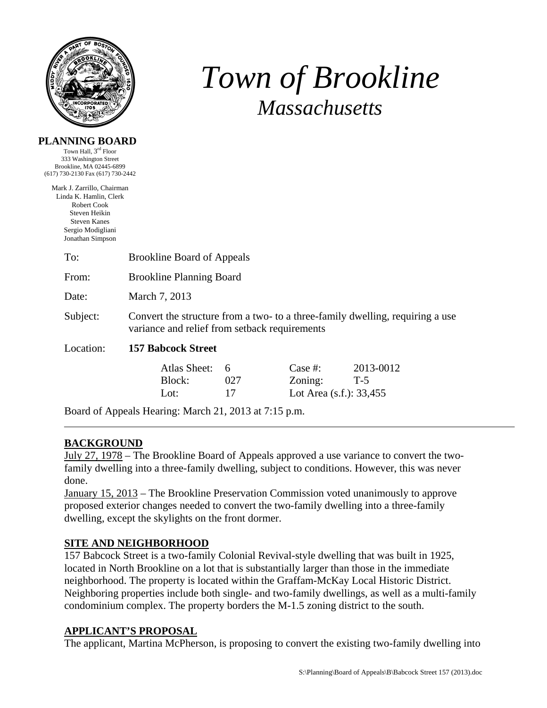

**PLANNING BOARD** 

# *Town of Brookline Massachusetts*

| Town Hall, 3 <sup>rd</sup> Floor<br>333 Washington Street<br>Brookline, MA 02445-6899       |                                                                                                                                |     |                         |           |  |  |
|---------------------------------------------------------------------------------------------|--------------------------------------------------------------------------------------------------------------------------------|-----|-------------------------|-----------|--|--|
| (617) 730-2130 Fax (617) 730-2442                                                           |                                                                                                                                |     |                         |           |  |  |
| Mark J. Zarrillo, Chairman<br>Linda K. Hamlin, Clerk<br><b>Robert Cook</b><br>Steven Heikin |                                                                                                                                |     |                         |           |  |  |
| <b>Steven Kanes</b>                                                                         |                                                                                                                                |     |                         |           |  |  |
| Sergio Modigliani<br>Jonathan Simpson                                                       |                                                                                                                                |     |                         |           |  |  |
| To:                                                                                         | <b>Brookline Board of Appeals</b>                                                                                              |     |                         |           |  |  |
| From:                                                                                       | <b>Brookline Planning Board</b>                                                                                                |     |                         |           |  |  |
| Date:                                                                                       | March 7, 2013                                                                                                                  |     |                         |           |  |  |
| Subject:                                                                                    | Convert the structure from a two- to a three-family dwelling, requiring a use<br>variance and relief from setback requirements |     |                         |           |  |  |
| Location:                                                                                   | <b>157 Babcock Street</b>                                                                                                      |     |                         |           |  |  |
|                                                                                             | Atlas Sheet:                                                                                                                   | 6   | Case $#$ :              | 2013-0012 |  |  |
|                                                                                             | Block:                                                                                                                         | 027 | Zoning:                 | $T-5$     |  |  |
|                                                                                             | Lot:                                                                                                                           | 17  | Lot Area (s.f.): 33,455 |           |  |  |
|                                                                                             |                                                                                                                                |     |                         |           |  |  |

Board of Appeals Hearing: March 21, 2013 at 7:15 p.m.

# **BACKGROUND**

July 27, 1978 – The Brookline Board of Appeals approved a use variance to convert the twofamily dwelling into a three-family dwelling, subject to conditions. However, this was never done.

January 15, 2013 – The Brookline Preservation Commission voted unanimously to approve proposed exterior changes needed to convert the two-family dwelling into a three-family dwelling, except the skylights on the front dormer.

#### **SITE AND NEIGHBORHOOD**

157 Babcock Street is a two-family Colonial Revival-style dwelling that was built in 1925, located in North Brookline on a lot that is substantially larger than those in the immediate neighborhood. The property is located within the Graffam-McKay Local Historic District. Neighboring properties include both single- and two-family dwellings, as well as a multi-family condominium complex. The property borders the M-1.5 zoning district to the south.

# **APPLICANT'S PROPOSAL**

The applicant, Martina McPherson, is proposing to convert the existing two-family dwelling into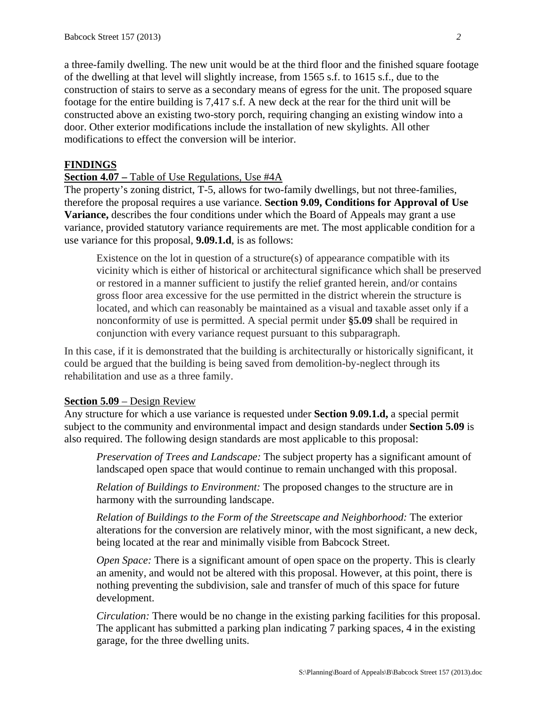a three-family dwelling. The new unit would be at the third floor and the finished square footage of the dwelling at that level will slightly increase, from 1565 s.f. to 1615 s.f., due to the construction of stairs to serve as a secondary means of egress for the unit. The proposed square footage for the entire building is 7,417 s.f. A new deck at the rear for the third unit will be constructed above an existing two-story porch, requiring changing an existing window into a door. Other exterior modifications include the installation of new skylights. All other modifications to effect the conversion will be interior.

### **FINDINGS**

#### **Section 4.07 –** Table of Use Regulations, Use #4A

The property's zoning district, T-5, allows for two-family dwellings, but not three-families, therefore the proposal requires a use variance. **Section 9.09, Conditions for Approval of Use Variance,** describes the four conditions under which the Board of Appeals may grant a use variance, provided statutory variance requirements are met. The most applicable condition for a use variance for this proposal, **9.09.1.d**, is as follows:

Existence on the lot in question of a structure(s) of appearance compatible with its vicinity which is either of historical or architectural significance which shall be preserved or restored in a manner sufficient to justify the relief granted herein, and/or contains gross floor area excessive for the use permitted in the district wherein the structure is located, and which can reasonably be maintained as a visual and taxable asset only if a nonconformity of use is permitted. A special permit under **§5.09** shall be required in conjunction with every variance request pursuant to this subparagraph.

In this case, if it is demonstrated that the building is architecturally or historically significant, it could be argued that the building is being saved from demolition-by-neglect through its rehabilitation and use as a three family.

#### **Section 5.09** – Design Review

Any structure for which a use variance is requested under **Section 9.09.1.d,** a special permit subject to the community and environmental impact and design standards under **Section 5.09** is also required. The following design standards are most applicable to this proposal:

*Preservation of Trees and Landscape:* The subject property has a significant amount of landscaped open space that would continue to remain unchanged with this proposal.

*Relation of Buildings to Environment:* The proposed changes to the structure are in harmony with the surrounding landscape.

*Relation of Buildings to the Form of the Streetscape and Neighborhood:* The exterior alterations for the conversion are relatively minor, with the most significant, a new deck, being located at the rear and minimally visible from Babcock Street.

*Open Space:* There is a significant amount of open space on the property. This is clearly an amenity, and would not be altered with this proposal. However, at this point, there is nothing preventing the subdivision, sale and transfer of much of this space for future development.

*Circulation:* There would be no change in the existing parking facilities for this proposal. The applicant has submitted a parking plan indicating 7 parking spaces, 4 in the existing garage, for the three dwelling units.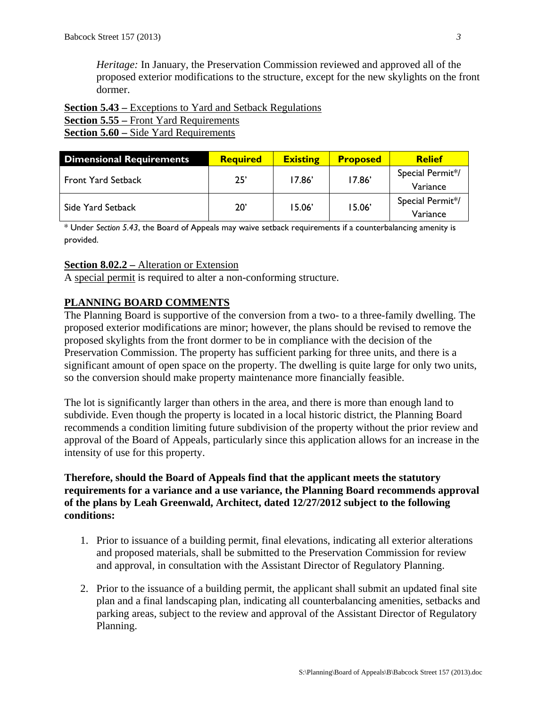*Heritage:* In January, the Preservation Commission reviewed and approved all of the proposed exterior modifications to the structure, except for the new skylights on the front dormer.

**Section 5.43 –** Exceptions to Yard and Setback Regulations **Section 5.55 –** Front Yard Requirements **Section 5.60 –** Side Yard Requirements

| <b>Dimensional Requirements</b> | <b>Required</b> | <b>Existing</b> | <b>Proposed</b> | <b>Relief</b>    |
|---------------------------------|-----------------|-----------------|-----------------|------------------|
| <b>Front Yard Setback</b>       | 25'             | 17.86'          | 17.86'          | Special Permit*/ |
|                                 |                 |                 |                 | Variance         |
| Side Yard Setback               | 20'             | 15.06'          | 15.06'          | Special Permit*/ |
|                                 |                 |                 |                 | Variance         |

\* Under *Section 5.43*, the Board of Appeals may waive setback requirements if a counterbalancing amenity is provided.

#### **Section 8.02.2 –** Alteration or Extension

A special permit is required to alter a non-conforming structure.

#### **PLANNING BOARD COMMENTS**

The Planning Board is supportive of the conversion from a two- to a three-family dwelling. The proposed exterior modifications are minor; however, the plans should be revised to remove the proposed skylights from the front dormer to be in compliance with the decision of the Preservation Commission. The property has sufficient parking for three units, and there is a significant amount of open space on the property. The dwelling is quite large for only two units, so the conversion should make property maintenance more financially feasible.

The lot is significantly larger than others in the area, and there is more than enough land to subdivide. Even though the property is located in a local historic district, the Planning Board recommends a condition limiting future subdivision of the property without the prior review and approval of the Board of Appeals, particularly since this application allows for an increase in the intensity of use for this property.

## **Therefore, should the Board of Appeals find that the applicant meets the statutory requirements for a variance and a use variance, the Planning Board recommends approval of the plans by Leah Greenwald, Architect, dated 12/27/2012 subject to the following conditions:**

- 1. Prior to issuance of a building permit, final elevations, indicating all exterior alterations and proposed materials, shall be submitted to the Preservation Commission for review and approval, in consultation with the Assistant Director of Regulatory Planning.
- 2. Prior to the issuance of a building permit, the applicant shall submit an updated final site plan and a final landscaping plan, indicating all counterbalancing amenities, setbacks and parking areas, subject to the review and approval of the Assistant Director of Regulatory Planning.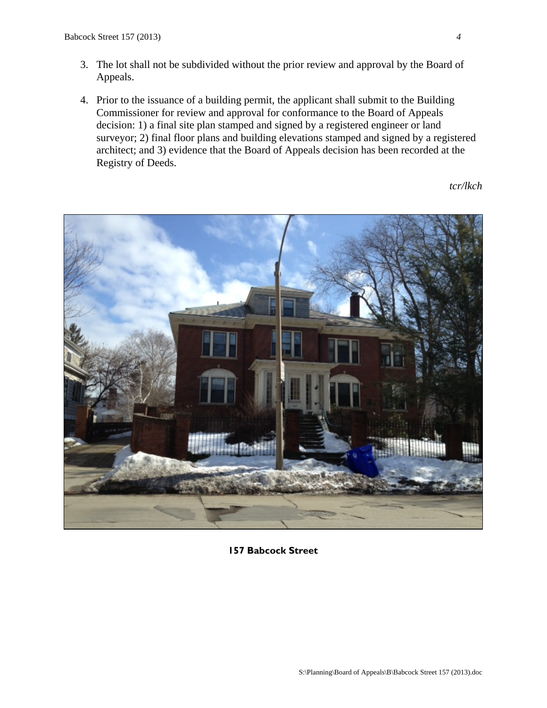- 3. The lot shall not be subdivided without the prior review and approval by the Board of Appeals.
- 4. Prior to the issuance of a building permit, the applicant shall submit to the Building Commissioner for review and approval for conformance to the Board of Appeals decision: 1) a final site plan stamped and signed by a registered engineer or land surveyor; 2) final floor plans and building elevations stamped and signed by a registered architect; and 3) evidence that the Board of Appeals decision has been recorded at the Registry of Deeds.

*tcr/lkch* 



#### **157 Babcock Street**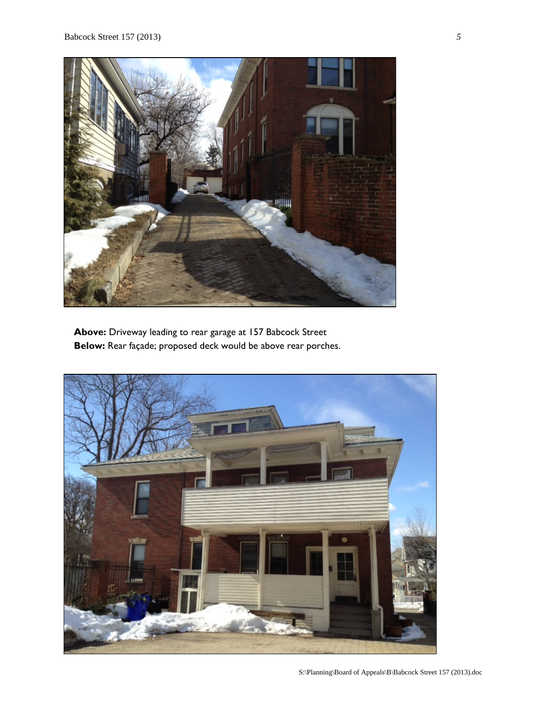

**Above:** Driveway leading to rear garage at 157 Babcock Street **Below:** Rear façade; proposed deck would be above rear porches.